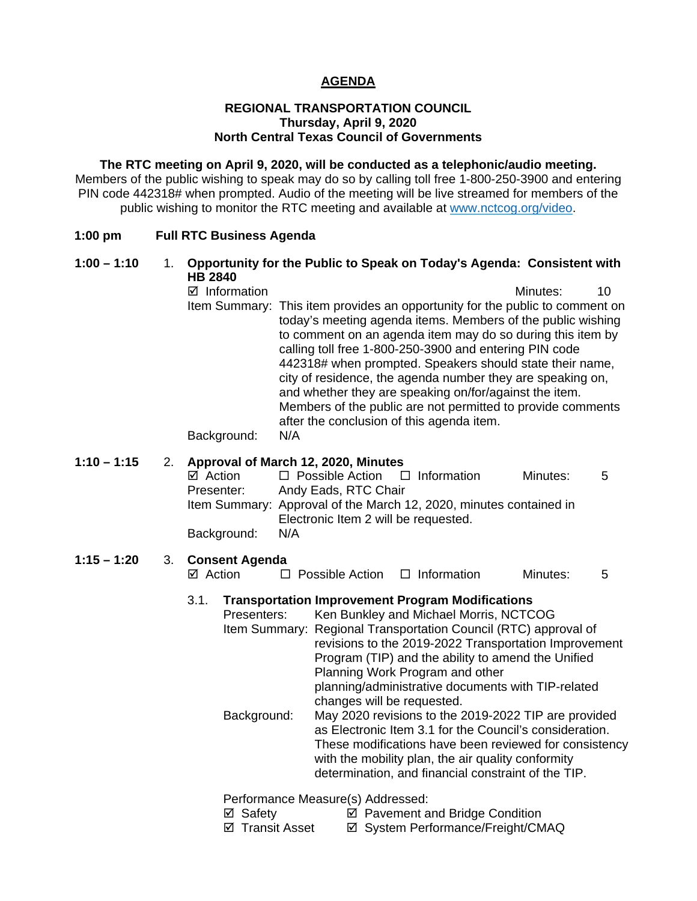## **AGENDA**

### **REGIONAL TRANSPORTATION COUNCIL Thursday, April 9, 2020 North Central Texas Council of Governments**

**The RTC meeting on April 9, 2020, will be conducted as a telephonic/audio meeting.** Members of the public wishing to speak may do so by calling toll free 1-800-250-3900 and entering PIN code 442318# when prompted. Audio of the meeting will be live streamed for members of the public wishing to monitor the RTC meeting and available at [www.nctcog.org/video.](http://www.nctcog.org/video)

#### **1:00 pm Full RTC Business Agenda**

## **1:00 – 1:10** 1. **Opportunity for the Public to Speak on Today's Agenda: Consistent with HB 2840**

 $\boxtimes$  Information and a set of the Minutes: 40 Item Summary: This item provides an opportunity for the public to comment on today's meeting agenda items. Members of the public wishing to comment on an agenda item may do so during this item by calling toll free 1-800-250-3900 and entering PIN code 442318# when prompted. Speakers should state their name, city of residence, the agenda number they are speaking on, and whether they are speaking on/for/against the item. Members of the public are not permitted to provide comments after the conclusion of this agenda item.

Background: N/A

# **1:10 – 1:15** 2. **Approval of March 12, 2020, Minutes**

 $\boxtimes$  Action  $\square$  Possible Action  $\square$  Information Minutes: 5<br>Presenter: Andy Eads. RTC Chair Andy Eads, RTC Chair Item Summary: Approval of the March 12, 2020, minutes contained in Electronic Item 2 will be requested. Background: N/A

#### **1:15 – 1:20** 3. **Consent Agenda**

 $\boxtimes$  Action  $\Box$  Possible Action  $\Box$  Information Minutes: 5

## 3.1. **Transportation Improvement Program Modifications**

Presenters: Ken Bunkley and Michael Morris, NCTCOG Item Summary: Regional Transportation Council (RTC) approval of revisions to the 2019-2022 Transportation Improvement Program (TIP) and the ability to amend the Unified Planning Work Program and other planning/administrative documents with TIP-related changes will be requested. Background: May 2020 revisions to the 2019-2022 TIP are provided as Electronic Item 3.1 for the Council's consideration. These modifications have been reviewed for consistency with the mobility plan, the air quality conformity

determination, and financial constraint of the TIP.

Performance Measure(s) Addressed:

- $\boxtimes$  Safety  $\boxtimes$  Pavement and Bridge Condition
- $\boxtimes$  **Transit Asset**  $\boxtimes$  System Performance/Freight/CMAQ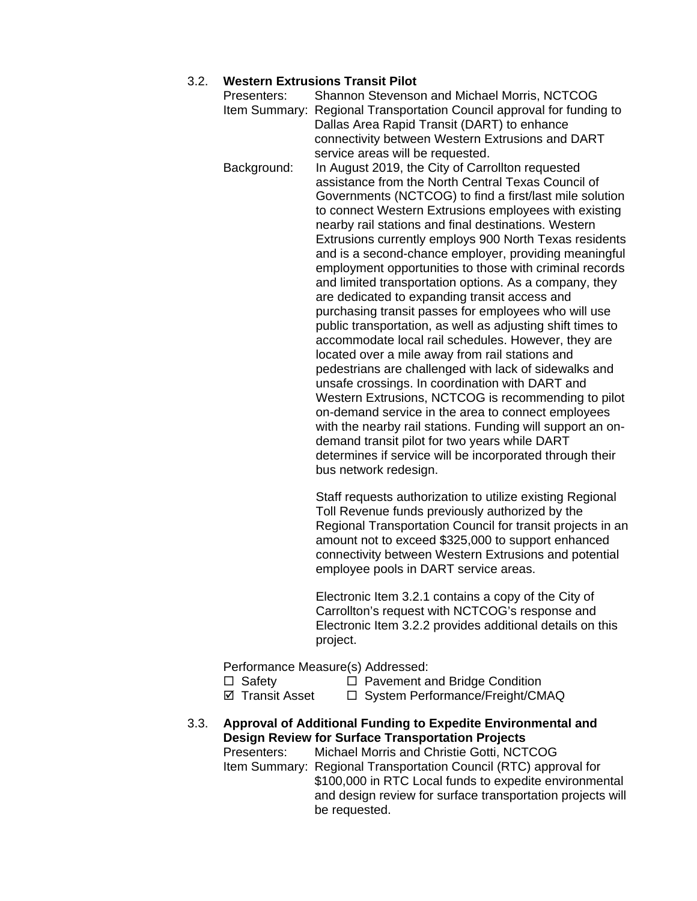# 3.2. **Western Extrusions Transit Pilot**

| Presenters:   | Shannon Stevenson and Michael Morris, NCTCOG                                                              |
|---------------|-----------------------------------------------------------------------------------------------------------|
| Item Summary: | Regional Transportation Council approval for funding to                                                   |
|               | Dallas Area Rapid Transit (DART) to enhance                                                               |
|               | connectivity between Western Extrusions and DART                                                          |
|               | service areas will be requested.                                                                          |
| Background:   | In August 2019, the City of Carrollton requested                                                          |
|               | assistance from the North Central Texas Council of                                                        |
|               | Governments (NCTCOG) to find a first/last mile solution                                                   |
|               | to connect Western Extrusions employees with existing                                                     |
|               | nearby rail stations and final destinations. Western                                                      |
|               | Extrusions currently employs 900 North Texas residents                                                    |
|               | and is a second-chance employer, providing meaningful                                                     |
|               | employment opportunities to those with criminal records                                                   |
|               | and limited transportation options. As a company, they                                                    |
|               | are dedicated to expanding transit access and                                                             |
|               | purchasing transit passes for employees who will use                                                      |
|               | public transportation, as well as adjusting shift times to                                                |
|               | accommodate local rail schedules. However, they are                                                       |
|               | located over a mile away from rail stations and                                                           |
|               | pedestrians are challenged with lack of sidewalks and                                                     |
|               | unsafe crossings. In coordination with DART and                                                           |
|               | Western Extrusions, NCTCOG is recommending to pilot<br>on-demand service in the area to connect employees |
|               | with the nearby rail stations. Funding will support an on-                                                |
|               | demand transit pilot for two years while DART                                                             |
|               | determines if service will be incorporated through their                                                  |
|               | bus network redesign.                                                                                     |
|               |                                                                                                           |

Staff requests authorization to utilize existing Regional Toll Revenue funds previously authorized by the Regional Transportation Council for transit projects in an amount not to exceed \$325,000 to support enhanced connectivity between Western Extrusions and potential employee pools in DART service areas.

Electronic Item 3.2.1 contains a copy of the City of Carrollton's request with NCTCOG's response and Electronic Item 3.2.2 provides additional details on this project.

Performance Measure(s) Addressed:

- 
- □ Safety □ Pavement and Bridge Condition<br> **□** System Performance/Freight/CM  $\Box$  System Performance/Freight/CMAQ
- 3.3. **Approval of Additional Funding to Expedite Environmental and Design Review for Surface Transportation Projects**

Presenters: Michael Morris and Christie Gotti, NCTCOG Item Summary: Regional Transportation Council (RTC) approval for \$100,000 in RTC Local funds to expedite environmental and design review for surface transportation projects will be requested.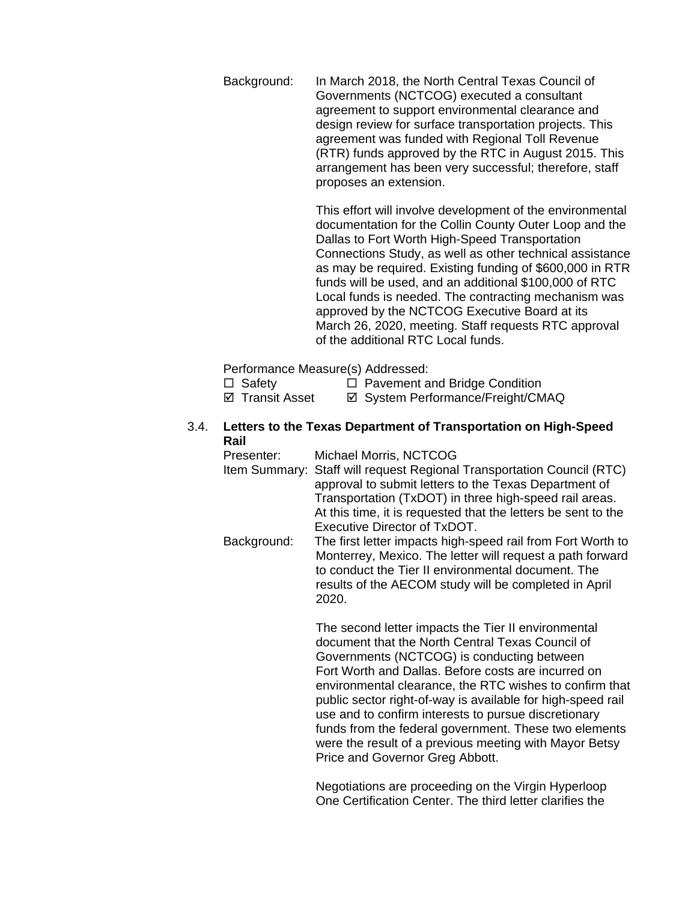Background: In March 2018, the North Central Texas Council of Governments (NCTCOG) executed a consultant agreement to support environmental clearance and design review for surface transportation projects. This agreement was funded with Regional Toll Revenue (RTR) funds approved by the RTC in August 2015. This arrangement has been very successful; therefore, staff proposes an extension.

> This effort will involve development of the environmental documentation for the Collin County Outer Loop and the Dallas to Fort Worth High-Speed Transportation Connections Study, as well as other technical assistance as may be required. Existing funding of \$600,000 in RTR funds will be used, and an additional \$100,000 of RTC Local funds is needed. The contracting mechanism was approved by the NCTCOG Executive Board at its March 26, 2020, meeting. Staff requests RTC approval of the additional RTC Local funds.

Performance Measure(s) Addressed:

- $\Box$  Safety  $\Box$  Pavement and Bridge Condition
- $\boxtimes$  **Transit Asset**  $\boxtimes$  System Performance/Freight/CMAQ
- 3.4. **Letters to the Texas Department of Transportation on High-Speed Rail**

Presenter: Michael Morris, NCTCOG Item Summary: Staff will request Regional Transportation Council (RTC) approval to submit letters to the Texas Department of Transportation (TxDOT) in three high-speed rail areas. At this time, it is requested that the letters be sent to the Executive Director of TxDOT. Background: The first letter impacts high-speed rail from Fort Worth to Monterrey, Mexico. The letter will request a path forward to conduct the Tier II environmental document. The results of the AECOM study will be completed in April 2020.

> The second letter impacts the Tier II environmental document that the North Central Texas Council of Governments (NCTCOG) is conducting between Fort Worth and Dallas. Before costs are incurred on environmental clearance, the RTC wishes to confirm that public sector right-of-way is available for high-speed rail use and to confirm interests to pursue discretionary funds from the federal government. These two elements were the result of a previous meeting with Mayor Betsy Price and Governor Greg Abbott.

Negotiations are proceeding on the Virgin Hyperloop One Certification Center. The third letter clarifies the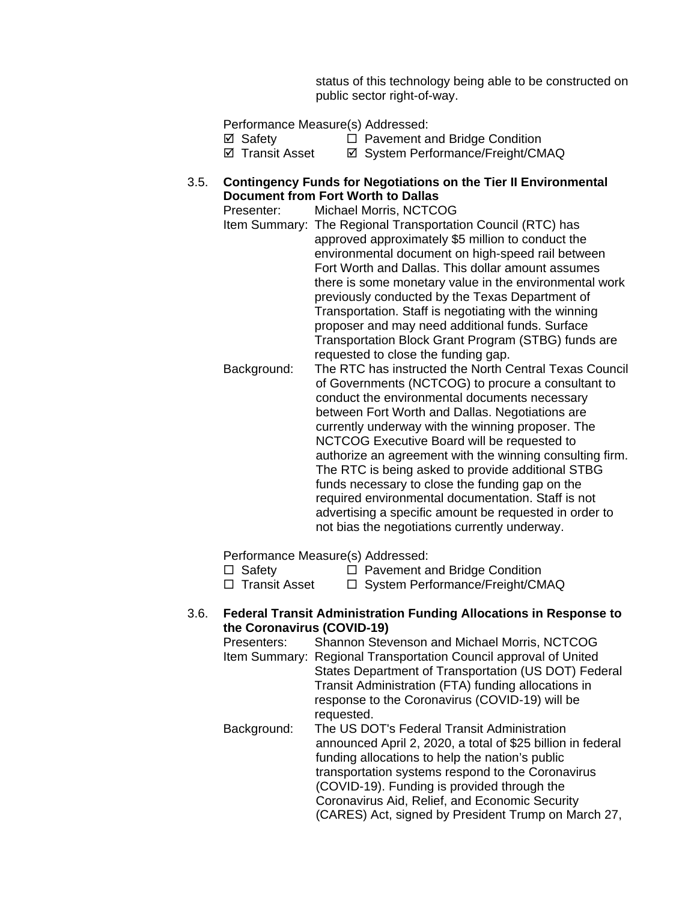status of this technology being able to be constructed on public sector right-of-way.

Performance Measure(s) Addressed: **Ø** Safety **D** Pavement and Bridge Condition<br>**Ø** Svstem Performance/Freight/CM **Ø System Performance/Freight/CMAQ** 3.5. **Contingency Funds for Negotiations on the Tier II Environmental Document from Fort Worth to Dallas** Presenter: Michael Morris, NCTCOG Item Summary: The Regional Transportation Council (RTC) has approved approximately \$5 million to conduct the environmental document on high-speed rail between Fort Worth and Dallas. This dollar amount assumes there is some monetary value in the environmental work previously conducted by the Texas Department of Transportation. Staff is negotiating with the winning proposer and may need additional funds. Surface Transportation Block Grant Program (STBG) funds are requested to close the funding gap. Background: The RTC has instructed the North Central Texas Council of Governments (NCTCOG) to procure a consultant to conduct the environmental documents necessary between Fort Worth and Dallas. Negotiations are currently underway with the winning proposer. The NCTCOG Executive Board will be requested to authorize an agreement with the winning consulting firm. The RTC is being asked to provide additional STBG funds necessary to close the funding gap on the required environmental documentation. Staff is not advertising a specific amount be requested in order to not bias the negotiations currently underway.

Performance Measure(s) Addressed:

 $\Box$  Safety  $\Box$  Pavement and Bridge Condition  $\Box$  Transit Asset  $\Box$  System Performance/Freight/CM

 $\Box$  System Performance/Freight/CMAQ

## 3.6. **Federal Transit Administration Funding Allocations in Response to the Coronavirus (COVID-19)**

| Presenters:<br>Item Summary: | Shannon Stevenson and Michael Morris, NCTCOG<br>Regional Transportation Council approval of United |
|------------------------------|----------------------------------------------------------------------------------------------------|
|                              | States Department of Transportation (US DOT) Federal                                               |
|                              | Transit Administration (FTA) funding allocations in                                                |
|                              | response to the Coronavirus (COVID-19) will be                                                     |
|                              | requested.                                                                                         |
| Background:                  | The US DOT's Federal Transit Administration                                                        |
|                              | announced April 2, 2020, a total of \$25 billion in federal                                        |
|                              | funding allocations to help the nation's public                                                    |
|                              | transportation systems respond to the Coronavirus                                                  |
|                              | (COVID-19). Funding is provided through the                                                        |
|                              | Coronavirus Aid, Relief, and Economic Security                                                     |
|                              | (CARES) Act, signed by President Trump on March 27,                                                |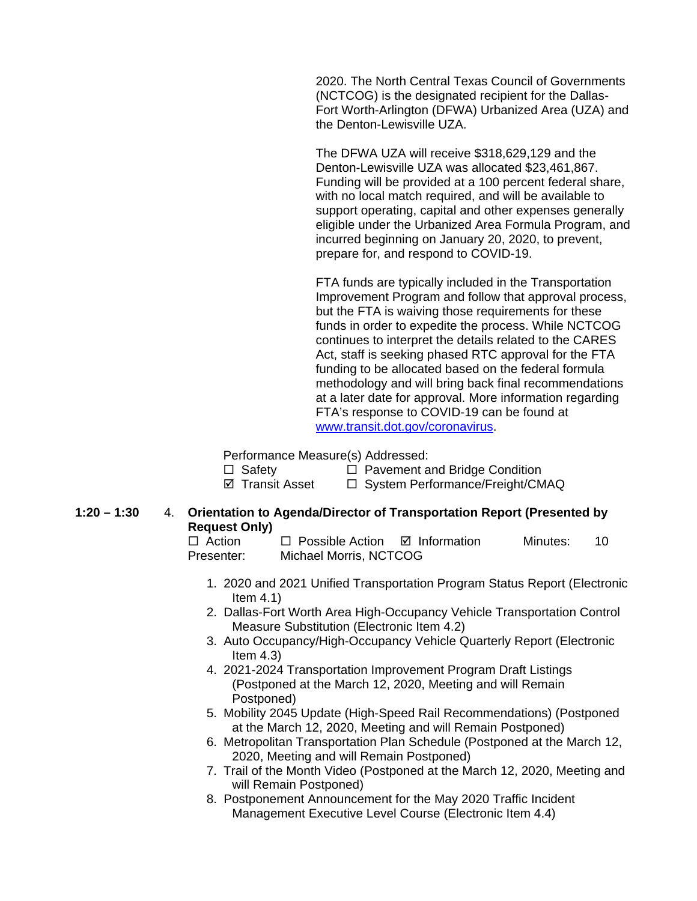2020. The North Central Texas Council of Governments (NCTCOG) is the designated recipient for the Dallas-Fort Worth-Arlington (DFWA) Urbanized Area (UZA) and the Denton-Lewisville UZA.

The DFWA UZA will receive \$318,629,129 and the Denton-Lewisville UZA was allocated \$23,461,867. Funding will be provided at a 100 percent federal share, with no local match required, and will be available to support operating, capital and other expenses generally eligible under the Urbanized Area Formula Program, and incurred beginning on January 20, 2020, to prevent, prepare for, and respond to COVID-19.

FTA funds are typically included in the Transportation Improvement Program and follow that approval process, but the FTA is waiving those requirements for these funds in order to expedite the process. While NCTCOG continues to interpret the details related to the CARES Act, staff is seeking phased RTC approval for the FTA funding to be allocated based on the federal formula methodology and will bring back final recommendations at a later date for approval. More information regarding FTA's response to COVID-19 can be found at [www.transit.dot.gov/coronavirus.](http://www.transit.dot.gov/coronavirus)

Performance Measure(s) Addressed:

 Safety Pavement and Bridge Condition  $\Box$  System Performance/Freight/CMAQ

## **1:20 – 1:30** 4. **Orientation to Agenda/Director of Transportation Report (Presented by Request Only)**

 $\Box$  Action  $\Box$  Possible Action  $\Box$  Information Minutes: 10 Presenter: Michael Morris, NCTCOG

- 1. 2020 and 2021 Unified Transportation Program Status Report (Electronic Item  $4.1$ )
- 2. Dallas-Fort Worth Area High-Occupancy Vehicle Transportation Control Measure Substitution (Electronic Item 4.2)
- 3. Auto Occupancy/High-Occupancy Vehicle Quarterly Report (Electronic Item  $4.3$ )
- 4. 2021-2024 Transportation Improvement Program Draft Listings (Postponed at the March 12, 2020, Meeting and will Remain Postponed)
- 5. Mobility 2045 Update (High-Speed Rail Recommendations) (Postponed at the March 12, 2020, Meeting and will Remain Postponed)
- 6. Metropolitan Transportation Plan Schedule (Postponed at the March 12, 2020, Meeting and will Remain Postponed)
- 7. Trail of the Month Video (Postponed at the March 12, 2020, Meeting and will Remain Postponed)
- 8. Postponement Announcement for the May 2020 Traffic Incident Management Executive Level Course (Electronic Item 4.4)